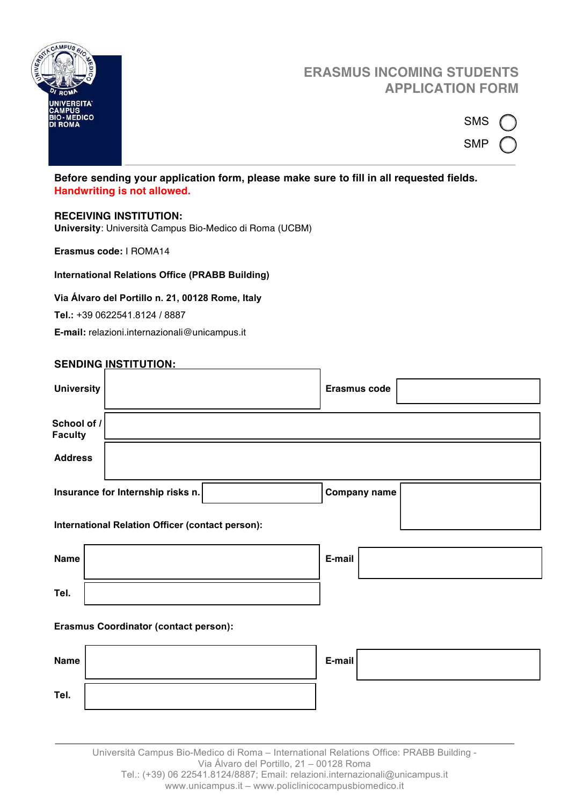

# **ERASMUS INCOMING STUDENTS APPLICATION FORM**

| SMS |  |
|-----|--|
| SMP |  |

# **Before sending your application form, please make sure to fill in all requested fields. Handwriting is not allowed.**

## **RECEIVING INSTITUTION:**

**University**: Università Campus Bio-Medico di Roma (UCBM)

**Erasmus code:** I ROMA14

## **International Relations Office (PRABB Building)**

#### **Via Álvaro del Portillo n. 21, 00128 Rome, Italy**

**Tel.:** +39 0622541.8124 / 8887

**E-mail:** relazioni.internazionali@unicampus.it

|                                                  | <u>JLNUING INJTITUTION.</u>       |                     |  |  |  |
|--------------------------------------------------|-----------------------------------|---------------------|--|--|--|
| <b>University</b>                                |                                   | <b>Erasmus code</b> |  |  |  |
| School of /<br><b>Faculty</b>                    |                                   |                     |  |  |  |
| <b>Address</b>                                   |                                   |                     |  |  |  |
|                                                  | Insurance for Internship risks n. | <b>Company name</b> |  |  |  |
| International Relation Officer (contact person): |                                   |                     |  |  |  |
| <b>Name</b>                                      |                                   | E-mail              |  |  |  |
| Tel.                                             |                                   |                     |  |  |  |
| <b>Erasmus Coordinator (contact person):</b>     |                                   |                     |  |  |  |
| <b>Name</b>                                      |                                   | E-mail              |  |  |  |
|                                                  |                                   |                     |  |  |  |

Università Campus Bio-Medico di Roma – International Relations Office: PRABB Building - Via Álvaro del Portillo, 21 – 00128 Roma Tel.: (+39) 06 22541.8124/8887; Email: relazioni.internazionali@unicampus.it www.unicampus.it – www.policlinicocampusbiomedico.it

#### **SENDING INSTITUTION:**

**Tel.**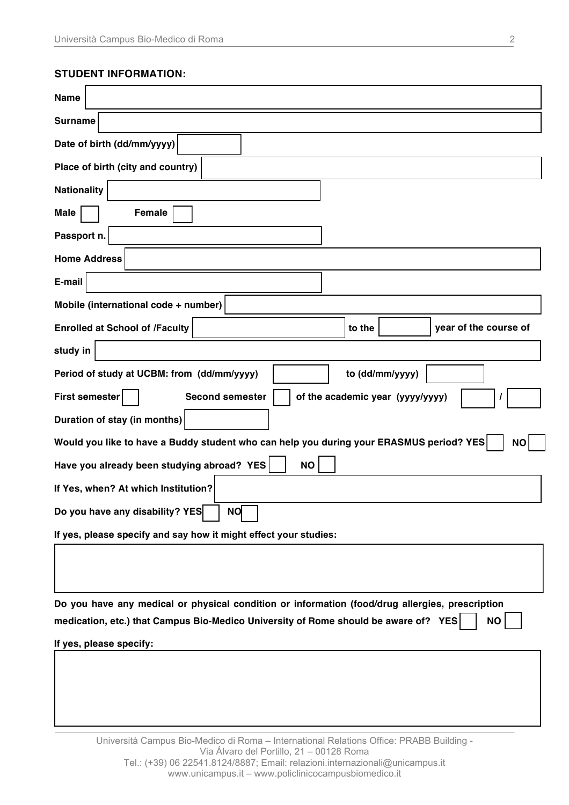# **STUDENT INFORMATION:**

| <b>Name</b>                                                                                                                                                                                                                    |  |  |  |  |  |  |
|--------------------------------------------------------------------------------------------------------------------------------------------------------------------------------------------------------------------------------|--|--|--|--|--|--|
| <b>Surname</b>                                                                                                                                                                                                                 |  |  |  |  |  |  |
| Date of birth (dd/mm/yyyy)                                                                                                                                                                                                     |  |  |  |  |  |  |
| Place of birth (city and country)                                                                                                                                                                                              |  |  |  |  |  |  |
| <b>Nationality</b>                                                                                                                                                                                                             |  |  |  |  |  |  |
| <b>Female</b><br><b>Male</b>                                                                                                                                                                                                   |  |  |  |  |  |  |
| Passport n.                                                                                                                                                                                                                    |  |  |  |  |  |  |
| <b>Home Address</b>                                                                                                                                                                                                            |  |  |  |  |  |  |
| E-mail                                                                                                                                                                                                                         |  |  |  |  |  |  |
| Mobile (international code + number)                                                                                                                                                                                           |  |  |  |  |  |  |
| <b>Enrolled at School of /Faculty</b><br>to the<br>year of the course of                                                                                                                                                       |  |  |  |  |  |  |
| study in                                                                                                                                                                                                                       |  |  |  |  |  |  |
| Period of study at UCBM: from (dd/mm/yyyy)<br>to (dd/mm/yyyy)                                                                                                                                                                  |  |  |  |  |  |  |
| <b>First semester</b><br><b>Second semester</b><br>of the academic year (yyyy/yyyy)                                                                                                                                            |  |  |  |  |  |  |
| Duration of stay (in months)                                                                                                                                                                                                   |  |  |  |  |  |  |
| Would you like to have a Buddy student who can help you during your ERASMUS period? YES<br><b>NO</b>                                                                                                                           |  |  |  |  |  |  |
| Have you already been studying abroad? YES<br><b>NO</b>                                                                                                                                                                        |  |  |  |  |  |  |
| If Yes, when? At which Institution?                                                                                                                                                                                            |  |  |  |  |  |  |
| NO<br>Do you have any disability? YES                                                                                                                                                                                          |  |  |  |  |  |  |
| If yes, please specify and say how it might effect your studies:                                                                                                                                                               |  |  |  |  |  |  |
|                                                                                                                                                                                                                                |  |  |  |  |  |  |
|                                                                                                                                                                                                                                |  |  |  |  |  |  |
| Do you have any medical or physical condition or information (food/drug allergies, prescription<br>medication, etc.) that Campus Bio-Medico University of Rome should be aware of? YES<br><b>NO</b><br>If yes, please specify: |  |  |  |  |  |  |
|                                                                                                                                                                                                                                |  |  |  |  |  |  |
|                                                                                                                                                                                                                                |  |  |  |  |  |  |
|                                                                                                                                                                                                                                |  |  |  |  |  |  |
|                                                                                                                                                                                                                                |  |  |  |  |  |  |
| Università Campus Bio-Medico di Roma - International Relations Office: PRABB Building -<br>Via Álvaro del Portillo, 21 - 00128 Roma                                                                                            |  |  |  |  |  |  |

Tel.: (+39) 06 22541.8124/8887; Email: relazioni.internazionali@unicampus.it www.unicampus.it – www.policlinicocampusbiomedico.it